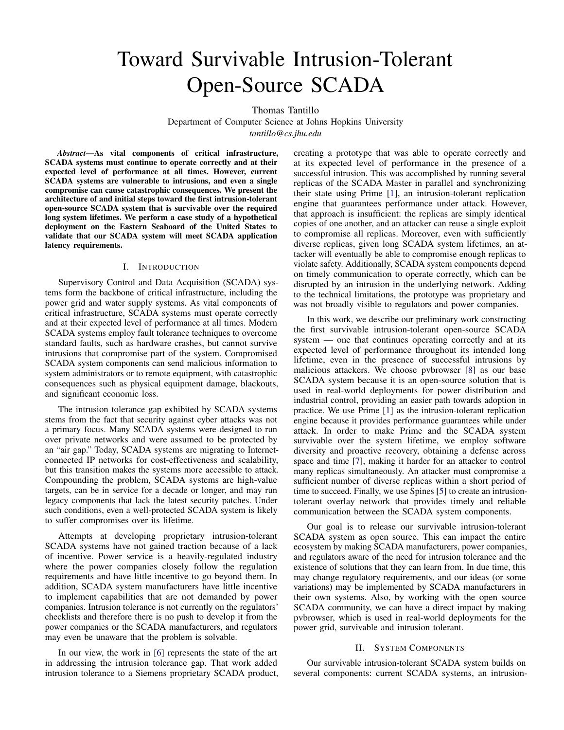# Toward Survivable Intrusion-Tolerant Open-Source SCADA

Thomas Tantillo

Department of Computer Science at Johns Hopkins University *tantillo@cs.jhu.edu*

*Abstract*—As vital components of critical infrastructure, SCADA systems must continue to operate correctly and at their expected level of performance at all times. However, current SCADA systems are vulnerable to intrusions, and even a single compromise can cause catastrophic consequences. We present the architecture of and initial steps toward the first intrusion-tolerant open-source SCADA system that is survivable over the required long system lifetimes. We perform a case study of a hypothetical deployment on the Eastern Seaboard of the United States to validate that our SCADA system will meet SCADA application latency requirements.

#### I. INTRODUCTION

Supervisory Control and Data Acquisition (SCADA) systems form the backbone of critical infrastructure, including the power grid and water supply systems. As vital components of critical infrastructure, SCADA systems must operate correctly and at their expected level of performance at all times. Modern SCADA systems employ fault tolerance techniques to overcome standard faults, such as hardware crashes, but cannot survive intrusions that compromise part of the system. Compromised SCADA system components can send malicious information to system administrators or to remote equipment, with catastrophic consequences such as physical equipment damage, blackouts, and significant economic loss.

The intrusion tolerance gap exhibited by SCADA systems stems from the fact that security against cyber attacks was not a primary focus. Many SCADA systems were designed to run over private networks and were assumed to be protected by an "air gap." Today, SCADA systems are migrating to Internetconnected IP networks for cost-effectiveness and scalability, but this transition makes the systems more accessible to attack. Compounding the problem, SCADA systems are high-value targets, can be in service for a decade or longer, and may run legacy components that lack the latest security patches. Under such conditions, even a well-protected SCADA system is likely to suffer compromises over its lifetime.

Attempts at developing proprietary intrusion-tolerant SCADA systems have not gained traction because of a lack of incentive. Power service is a heavily-regulated industry where the power companies closely follow the regulation requirements and have little incentive to go beyond them. In addition, SCADA system manufacturers have little incentive to implement capabilities that are not demanded by power companies. Intrusion tolerance is not currently on the regulators' checklists and therefore there is no push to develop it from the power companies or the SCADA manufacturers, and regulators may even be unaware that the problem is solvable.

In our view, the work in [\[6\]](#page-3-0) represents the state of the art in addressing the intrusion tolerance gap. That work added intrusion tolerance to a Siemens proprietary SCADA product, creating a prototype that was able to operate correctly and at its expected level of performance in the presence of a successful intrusion. This was accomplished by running several replicas of the SCADA Master in parallel and synchronizing their state using Prime [\[1\]](#page-3-1), an intrusion-tolerant replication engine that guarantees performance under attack. However, that approach is insufficient: the replicas are simply identical copies of one another, and an attacker can reuse a single exploit to compromise all replicas. Moreover, even with sufficiently diverse replicas, given long SCADA system lifetimes, an attacker will eventually be able to compromise enough replicas to violate safety. Additionally, SCADA system components depend on timely communication to operate correctly, which can be disrupted by an intrusion in the underlying network. Adding to the technical limitations, the prototype was proprietary and was not broadly visible to regulators and power companies.

In this work, we describe our preliminary work constructing the first survivable intrusion-tolerant open-source SCADA system — one that continues operating correctly and at its expected level of performance throughout its intended long lifetime, even in the presence of successful intrusions by malicious attackers. We choose pvbrowser [\[8\]](#page-3-2) as our base SCADA system because it is an open-source solution that is used in real-world deployments for power distribution and industrial control, providing an easier path towards adoption in practice. We use Prime [\[1\]](#page-3-1) as the intrusion-tolerant replication engine because it provides performance guarantees while under attack. In order to make Prime and the SCADA system survivable over the system lifetime, we employ software diversity and proactive recovery, obtaining a defense across space and time [\[7\]](#page-3-3), making it harder for an attacker to control many replicas simultaneously. An attacker must compromise a sufficient number of diverse replicas within a short period of time to succeed. Finally, we use Spines [\[5\]](#page-3-4) to create an intrusiontolerant overlay network that provides timely and reliable communication between the SCADA system components.

Our goal is to release our survivable intrusion-tolerant SCADA system as open source. This can impact the entire ecosystem by making SCADA manufacturers, power companies, and regulators aware of the need for intrusion tolerance and the existence of solutions that they can learn from. In due time, this may change regulatory requirements, and our ideas (or some variations) may be implemented by SCADA manufacturers in their own systems. Also, by working with the open source SCADA community, we can have a direct impact by making pvbrowser, which is used in real-world deployments for the power grid, survivable and intrusion tolerant.

# II. SYSTEM COMPONENTS

Our survivable intrusion-tolerant SCADA system builds on several components: current SCADA systems, an intrusion-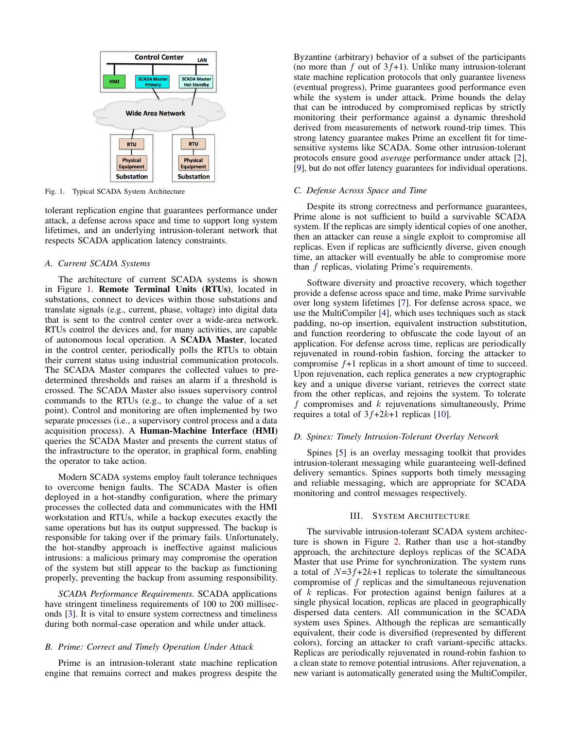

<span id="page-1-0"></span>Fig. 1. Typical SCADA System Architecture

tolerant replication engine that guarantees performance under attack, a defense across space and time to support long system lifetimes, and an underlying intrusion-tolerant network that respects SCADA application latency constraints.

# *A. Current SCADA Systems*

The architecture of current SCADA systems is shown in Figure [1.](#page-1-0) Remote Terminal Units (RTUs), located in substations, connect to devices within those substations and translate signals (e.g., current, phase, voltage) into digital data that is sent to the control center over a wide-area network. RTUs control the devices and, for many activities, are capable of autonomous local operation. A SCADA Master, located in the control center, periodically polls the RTUs to obtain their current status using industrial communication protocols. The SCADA Master compares the collected values to predetermined thresholds and raises an alarm if a threshold is crossed. The SCADA Master also issues supervisory control commands to the RTUs (e.g., to change the value of a set point). Control and monitoring are often implemented by two separate processes (i.e., a supervisory control process and a data acquisition process). A Human-Machine Interface (HMI) queries the SCADA Master and presents the current status of the infrastructure to the operator, in graphical form, enabling the operator to take action.

Modern SCADA systems employ fault tolerance techniques to overcome benign faults. The SCADA Master is often deployed in a hot-standby configuration, where the primary processes the collected data and communicates with the HMI workstation and RTUs, while a backup executes exactly the same operations but has its output suppressed. The backup is responsible for taking over if the primary fails. Unfortunately, the hot-standby approach is ineffective against malicious intrusions: a malicious primary may compromise the operation of the system but still appear to the backup as functioning properly, preventing the backup from assuming responsibility.

*SCADA Performance Requirements.* SCADA applications have stringent timeliness requirements of 100 to 200 milliseconds [\[3\]](#page-3-5). It is vital to ensure system correctness and timeliness during both normal-case operation and while under attack.

#### *B. Prime: Correct and Timely Operation Under Attack*

Prime is an intrusion-tolerant state machine replication engine that remains correct and makes progress despite the Byzantine (arbitrary) behavior of a subset of the participants (no more than  $f$  out of  $3f+1$ ). Unlike many intrusion-tolerant state machine replication protocols that only guarantee liveness (eventual progress), Prime guarantees good performance even while the system is under attack. Prime bounds the delay that can be introduced by compromised replicas by strictly monitoring their performance against a dynamic threshold derived from measurements of network round-trip times. This strong latency guarantee makes Prime an excellent fit for timesensitive systems like SCADA. Some other intrusion-tolerant protocols ensure good *average* performance under attack [\[2\]](#page-3-6), [\[9\]](#page-3-7), but do not offer latency guarantees for individual operations.

#### *C. Defense Across Space and Time*

Despite its strong correctness and performance guarantees, Prime alone is not sufficient to build a survivable SCADA system. If the replicas are simply identical copies of one another, then an attacker can reuse a single exploit to compromise all replicas. Even if replicas are sufficiently diverse, given enough time, an attacker will eventually be able to compromise more than f replicas, violating Prime's requirements.

Software diversity and proactive recovery, which together provide a defense across space and time, make Prime survivable over long system lifetimes [\[7\]](#page-3-3). For defense across space, we use the MultiCompiler [\[4\]](#page-3-8), which uses techniques such as stack padding, no-op insertion, equivalent instruction substitution, and function reordering to obfuscate the code layout of an application. For defense across time, replicas are periodically rejuvenated in round-robin fashion, forcing the attacker to compromise f+1 replicas in a short amount of time to succeed. Upon rejuvenation, each replica generates a new cryptographic key and a unique diverse variant, retrieves the correct state from the other replicas, and rejoins the system. To tolerate  $f$  compromises and  $k$  rejuvenations simultaneously, Prime requires a total of  $3f+2k+1$  replicas [\[10\]](#page-3-9).

## *D. Spines: Timely Intrusion-Tolerant Overlay Network*

Spines [\[5\]](#page-3-4) is an overlay messaging toolkit that provides intrusion-tolerant messaging while guaranteeing well-defined delivery semantics. Spines supports both timely messaging and reliable messaging, which are appropriate for SCADA monitoring and control messages respectively.

# III. SYSTEM ARCHITECTURE

The survivable intrusion-tolerant SCADA system architecture is shown in Figure [2.](#page-2-0) Rather than use a hot-standby approach, the architecture deploys replicas of the SCADA Master that use Prime for synchronization. The system runs a total of  $N=3f+2k+1$  replicas to tolerate the simultaneous compromise of f replicas and the simultaneous rejuvenation of k replicas. For protection against benign failures at a single physical location, replicas are placed in geographically dispersed data centers. All communication in the SCADA system uses Spines. Although the replicas are semantically equivalent, their code is diversified (represented by different colors), forcing an attacker to craft variant-specific attacks. Replicas are periodically rejuvenated in round-robin fashion to a clean state to remove potential intrusions. After rejuvenation, a new variant is automatically generated using the MultiCompiler,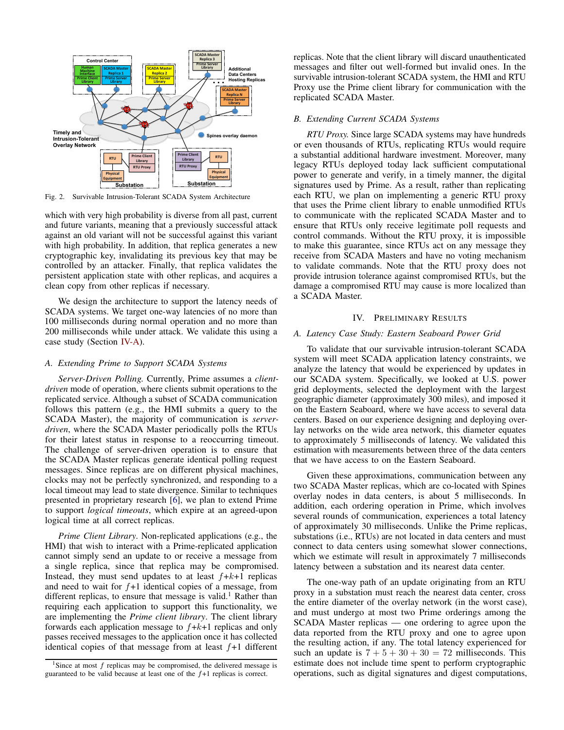

<span id="page-2-0"></span>Fig. 2. Survivable Intrusion-Tolerant SCADA System Architecture

which with very high probability is diverse from all past, current and future variants, meaning that a previously successful attack against an old variant will not be successful against this variant with high probability. In addition, that replica generates a new cryptographic key, invalidating its previous key that may be controlled by an attacker. Finally, that replica validates the persistent application state with other replicas, and acquires a clean copy from other replicas if necessary.

We design the architecture to support the latency needs of SCADA systems. We target one-way latencies of no more than 100 milliseconds during normal operation and no more than 200 milliseconds while under attack. We validate this using a case study (Section [IV-A\)](#page-2-1).

## <span id="page-2-2"></span>*A. Extending Prime to Support SCADA Systems*

*Server-Driven Polling.* Currently, Prime assumes a *clientdriven* mode of operation, where clients submit operations to the replicated service. Although a subset of SCADA communication follows this pattern (e.g., the HMI submits a query to the SCADA Master), the majority of communication is *serverdriven*, where the SCADA Master periodically polls the RTUs for their latest status in response to a reoccurring timeout. The challenge of server-driven operation is to ensure that the SCADA Master replicas generate identical polling request messages. Since replicas are on different physical machines, clocks may not be perfectly synchronized, and responding to a local timeout may lead to state divergence. Similar to techniques presented in proprietary research [\[6\]](#page-3-0), we plan to extend Prime to support *logical timeouts*, which expire at an agreed-upon logical time at all correct replicas.

*Prime Client Library*. Non-replicated applications (e.g., the HMI) that wish to interact with a Prime-replicated application cannot simply send an update to or receive a message from a single replica, since that replica may be compromised. Instead, they must send updates to at least  $f+k+1$  replicas and need to wait for  $f+1$  identical copies of a message, from different replicas, to ensure that message is valid.<sup>1</sup> Rather than requiring each application to support this functionality, we are implementing the *Prime client library*. The client library forwards each application message to  $f+k+1$  replicas and only passes received messages to the application once it has collected identical copies of that message from at least  $f+1$  different

replicas. Note that the client library will discard unauthenticated messages and filter out well-formed but invalid ones. In the survivable intrusion-tolerant SCADA system, the HMI and RTU Proxy use the Prime client library for communication with the replicated SCADA Master.

#### *B. Extending Current SCADA Systems*

*RTU Proxy.* Since large SCADA systems may have hundreds or even thousands of RTUs, replicating RTUs would require a substantial additional hardware investment. Moreover, many legacy RTUs deployed today lack sufficient computational power to generate and verify, in a timely manner, the digital signatures used by Prime. As a result, rather than replicating each RTU, we plan on implementing a generic RTU proxy that uses the Prime client library to enable unmodified RTUs to communicate with the replicated SCADA Master and to ensure that RTUs only receive legitimate poll requests and control commands. Without the RTU proxy, it is impossible to make this guarantee, since RTUs act on any message they receive from SCADA Masters and have no voting mechanism to validate commands. Note that the RTU proxy does not provide intrusion tolerance against compromised RTUs, but the damage a compromised RTU may cause is more localized than a SCADA Master.

#### IV. PRELIMINARY RESULTS

## <span id="page-2-1"></span>*A. Latency Case Study: Eastern Seaboard Power Grid*

To validate that our survivable intrusion-tolerant SCADA system will meet SCADA application latency constraints, we analyze the latency that would be experienced by updates in our SCADA system. Specifically, we looked at U.S. power grid deployments, selected the deployment with the largest geographic diameter (approximately 300 miles), and imposed it on the Eastern Seaboard, where we have access to several data centers. Based on our experience designing and deploying overlay networks on the wide area network, this diameter equates to approximately 5 milliseconds of latency. We validated this estimation with measurements between three of the data centers that we have access to on the Eastern Seaboard.

Given these approximations, communication between any two SCADA Master replicas, which are co-located with Spines overlay nodes in data centers, is about 5 milliseconds. In addition, each ordering operation in Prime, which involves several rounds of communication, experiences a total latency of approximately 30 milliseconds. Unlike the Prime replicas, substations (i.e., RTUs) are not located in data centers and must connect to data centers using somewhat slower connections, which we estimate will result in approximately 7 milliseconds latency between a substation and its nearest data center.

The one-way path of an update originating from an RTU proxy in a substation must reach the nearest data center, cross the entire diameter of the overlay network (in the worst case), and must undergo at most two Prime orderings among the SCADA Master replicas — one ordering to agree upon the data reported from the RTU proxy and one to agree upon the resulting action, if any. The total latency experienced for such an update is  $7 + 5 + 30 + 30 = 72$  milliseconds. This estimate does not include time spent to perform cryptographic operations, such as digital signatures and digest computations,

<sup>&</sup>lt;sup>1</sup>Since at most  $f$  replicas may be compromised, the delivered message is guaranteed to be valid because at least one of the  $f+1$  replicas is correct.